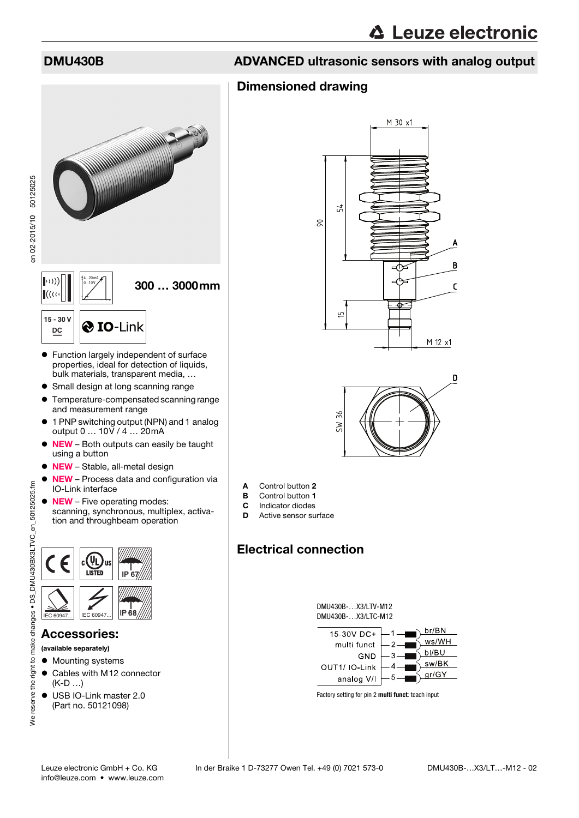### Dimensioned drawing



- Function largely independent of surface properties, ideal for detection of liquids, bulk materials, transparent media, …
- Small design at long scanning range
- Temperature-compensated scanning range and measurement range
- 1 PNP switching output (NPN) and 1 analog output 0 … 10V / 4 … 20mA
- $\bullet$  NEW Both outputs can easily be taught using a button
- **NEW** Stable, all-metal design
- NEW Process data and configuration via IO-Link interface
- **NEW** Five operating modes: scanning, synchronous, multiplex, activation and throughbeam operation



### Accessories:

- (available separately)
- Mounting systems
- Cables with M12 connector (K-D …)
- USB IO-Link master 2.0 (Part no. 50121098)





- A Control button 2
- **B** Control button 1
- **C** Indicator diodes<br>**D** Active sensor su
- Active sensor surface

# Electrical connection





Factory setting for pin 2 **multi funct**: teach input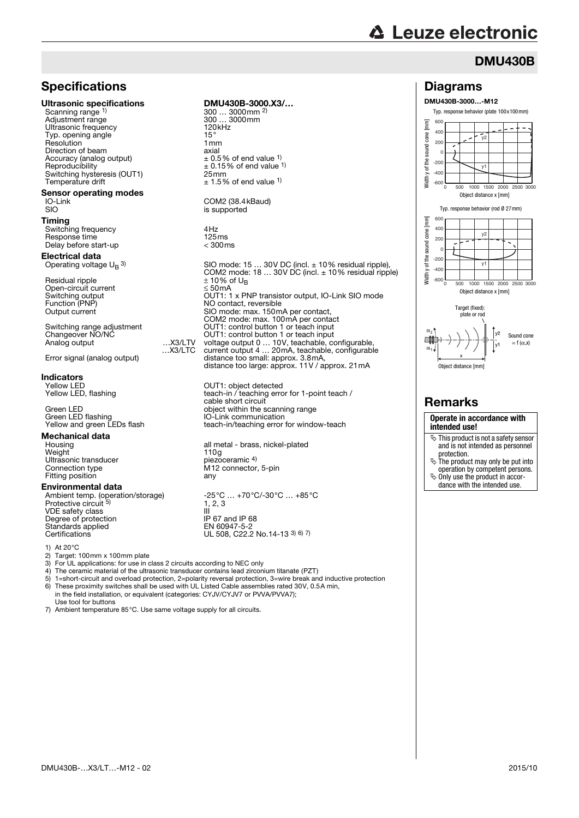# **△ Leuze electronic**

Diagrams DMU430B-3000…-M12

### DMU430B

## **Specifications**

### Ultrasonic specifications DMU430B-3000.X3/...

Scanning range 1) Adjustment range 300 … 3<br>
Ultrasonic frequency 300 mm Ultrasonic frequency 120<br>
Typ opening angle Typ. opening angle <sup>1</sup> the state of the 15°<br>Resolution 1 nm ry: commission is a contracted to the present of the precision of the precision of the precision of the precision of the precision of the precision of the precision of the precision of the precision of the precision of the Direction of beam<br>
Direction of beam<br>
Accuracy (analog output)<br>  $\pm 0.5\%$  of end value <sup>1)</sup> Switching hysteresis (OUT1) 25mm<br>Temperature drift  $+1.5\%$ 

# **Sensor operating modes**<br>IO-Link<br>SIO

### Timing

Switching frequency 4Hz<br>Response time 125ms Response time 125ms<br>Delay before start-up delay < 300ms Delay before start-up

### Electrical data Operating voltage  $U_B$  3)

Residual ripple  $\pm 10\%$  of U<sub>B</sub> Open-circuit current<br>Switching output<br>Function (PNP)

Switching range adjustment<br>Changeover NO/NC<br>Analog output ...X3/LTV

# **Indicators**<br>Yellow LED

# **Mechanical data**<br>Housing

Weight<br>Ultrasonic transducer<br>Ultrasonic transducer<br>
Ultrasonic transducer<br>
Ultrasonic transducer Ultrasonic transducer<br>Connection type Fitting position

### Environmental data

Protective circuit 5) VDE safety class<br>
Degree of protection<br>
Degree of protection<br>
IP 67 and IP 68 Degree of protection<br>
Standards applied<br>
EN 60947-5-2 Standards applied<br>Certifications

1) At  $20^{\circ}$ C<br>2) Target:

2) Target: 100mm x 100mm plate<br>3) For UL applications: for use in d

- 3) For UL applications: for use in class 2 circuits according to NEC only
- 4) The ceramic material of the ultrasonic transducer contains lead zirconium titanate (PZT)
- 5) 1=short-circuit and overload protection, 2=polarity reversal protection, 3=wire break and inductive protection<br>6) These proximity switches shall be used with UL Listed Cable assemblies rated 30V, 0.5A min, 6) These proximity switches shall be used with UL Listed Cable assemblies rated 30V, 0.5A min, in the field installation, or equivalent (categories: CYJV/CYJV7 or PVVA/PVVA7);
- Use tool for buttons 7) Ambient temperature 85°C. Use same voltage supply for all circuits.



Yellow LED OUT1: object detected Yellow LED, flashing teach-in / teaching error for 1-point teach / cable short circuit Green LED<br>Green LED flashing and the scanning range<br>IO-Link communication Green LED flashing **IO-Link communication**<br>
Yellow and green LEDs flash **ICO-Link** teach-in/teaching error teach-in/teaching error for window-teach

> all metal - brass, nickel-plated<br>110g M12 connector, 5-pin<br>any

Ambient temp. (operation/storage) -25°C ... +70°C/-30°C ... +85°C  $1, 2, 3$  $UL$  508, C22.2 No.14-13 3) 6) 7)



## Remarks

### **Operate in accordance with intended use!**

- $\ddot{\phi}$  This product is not a safety sensor and is not intended as personnel
- protection. The product may only be put into operation by competent persons.
- $\ddot{\phi}$  Only use the product in accor-
- dance with the intended use.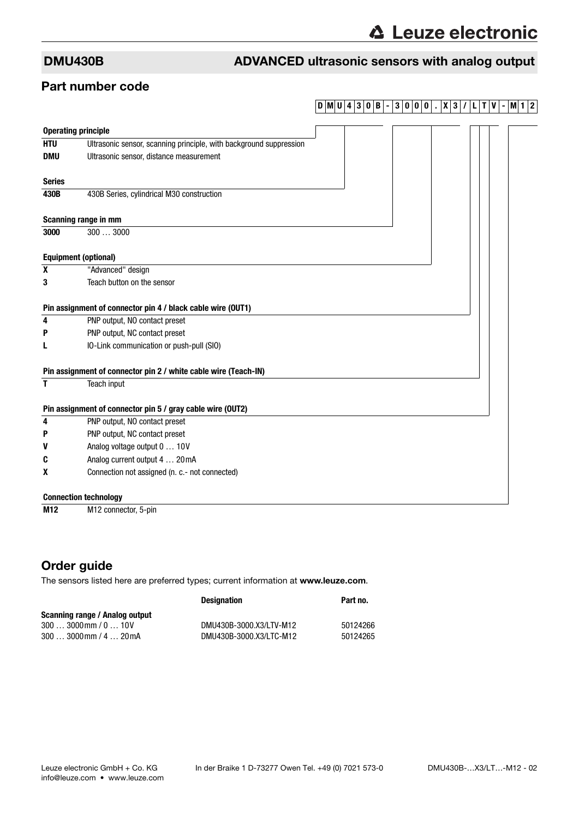### Part number code

## **DMU 4 3 0 B - 3 0 0 0 . X 3 / L T V - M1 2**

| <b>Operating principle</b>                                 |                                                                    |  |  |  |
|------------------------------------------------------------|--------------------------------------------------------------------|--|--|--|
| <b>HTU</b>                                                 | Ultrasonic sensor, scanning principle, with background suppression |  |  |  |
| <b>DMU</b>                                                 | Ultrasonic sensor, distance measurement                            |  |  |  |
| <b>Series</b>                                              |                                                                    |  |  |  |
| 430B                                                       | 430B Series, cylindrical M30 construction                          |  |  |  |
|                                                            | Scanning range in mm                                               |  |  |  |
| 3000                                                       | 3003000                                                            |  |  |  |
|                                                            | <b>Equipment (optional)</b>                                        |  |  |  |
| X                                                          | "Advanced" design                                                  |  |  |  |
| 3                                                          | Teach button on the sensor                                         |  |  |  |
|                                                            | Pin assignment of connector pin 4 / black cable wire (OUT1)        |  |  |  |
| 4                                                          | PNP output, NO contact preset                                      |  |  |  |
| P                                                          | PNP output, NC contact preset                                      |  |  |  |
|                                                            | IO-Link communication or push-pull (SIO)                           |  |  |  |
|                                                            | Pin assignment of connector pin 2 / white cable wire (Teach-IN)    |  |  |  |
| T                                                          | Teach input                                                        |  |  |  |
| Pin assignment of connector pin 5 / gray cable wire (OUT2) |                                                                    |  |  |  |
| 4                                                          | PNP output, NO contact preset                                      |  |  |  |
| P                                                          | PNP output, NC contact preset                                      |  |  |  |
| V                                                          | Analog voltage output 0  10V                                       |  |  |  |
| C                                                          | Analog current output 4  20mA                                      |  |  |  |
| X                                                          | Connection not assigned (n. c.- not connected)                     |  |  |  |
|                                                            | <b>Connection technology</b>                                       |  |  |  |
| M <sub>12</sub>                                            | M12 connector, 5-pin                                               |  |  |  |

## Order guide

The sensors listed here are preferred types; current information at www.leuze.com.

|                                | <b>Designation</b>      | Part no. |
|--------------------------------|-------------------------|----------|
| Scanning range / Analog output |                         |          |
| $3003000$ mm $/010V$           | DMU430B-3000.X3/LTV-M12 | 50124266 |
| $3003000$ mm $/420$ mA         | DMU430B-3000.X3/LTC-M12 | 50124265 |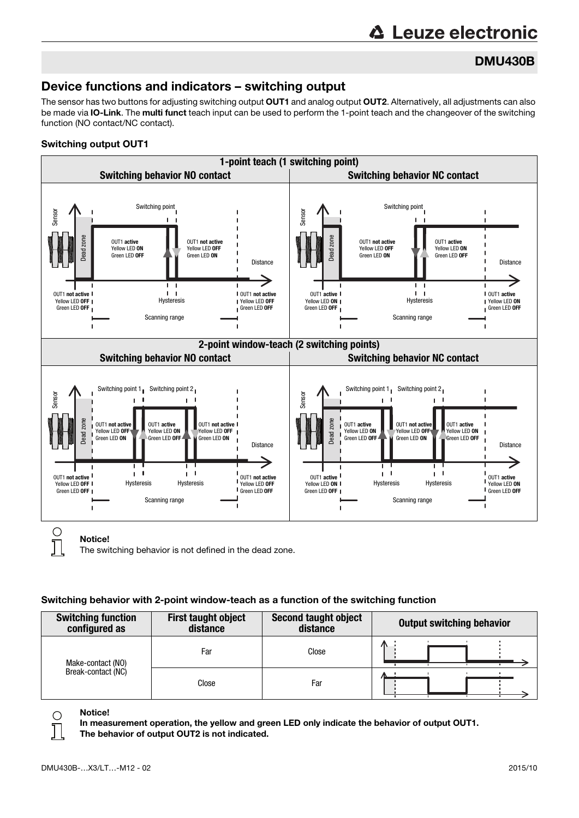# **∆ Leuze electronic**

# DMU430B

# Device functions and indicators – switching output

The sensor has two buttons for adjusting switching output OUT1 and analog output OUT2. Alternatively, all adjustments can also be made via IO-Link. The multi funct teach input can be used to perform the 1-point teach and the changeover of the switching function (NO contact/NC contact).

### Switching output OUT1



The switching behavior is not defined in the dead zone.

### Switching behavior with 2-point window-teach as a function of the switching function

| <b>Switching function</b><br>configured as | <b>First taught object</b><br>distance | Second taught object<br>distance | <b>Output switching behavior</b> |
|--------------------------------------------|----------------------------------------|----------------------------------|----------------------------------|
| Make-contact (NO)                          | Far                                    | Close                            | 灬                                |
| Break-contact (NC)                         | Close                                  | Far                              |                                  |



Notice!

In measurement operation, the yellow and green LED only indicate the behavior of output OUT1. The behavior of output OUT2 is not indicated.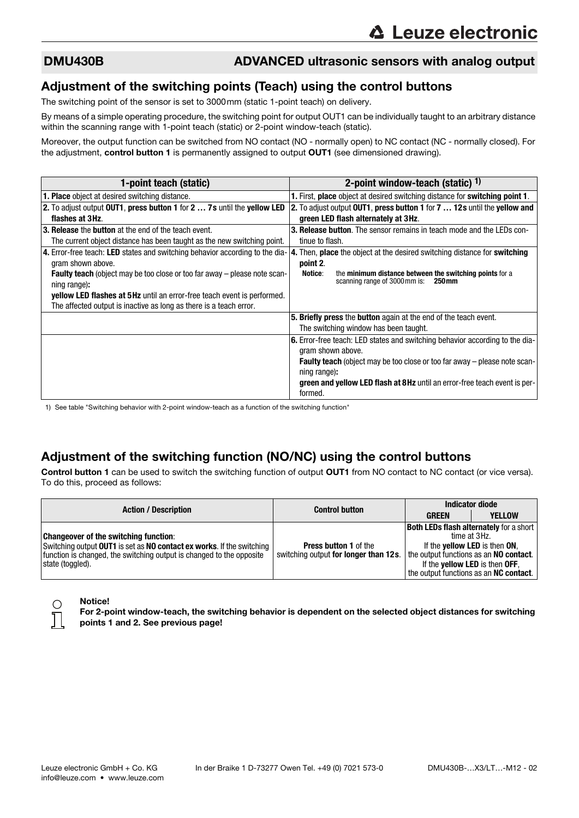### Adjustment of the switching points (Teach) using the control buttons

The switching point of the sensor is set to 3000mm (static 1-point teach) on delivery.

By means of a simple operating procedure, the switching point for output OUT1 can be individually taught to an arbitrary distance within the scanning range with 1-point teach (static) or 2-point window-teach (static).

Moreover, the output function can be switched from NO contact (NO - normally open) to NC contact (NC - normally closed). For the adjustment, control button 1 is permanently assigned to output OUT1 (see dimensioned drawing).

| 1-point teach (static)                                                                            | 2-point window-teach (static) $1$ )                                                                        |
|---------------------------------------------------------------------------------------------------|------------------------------------------------------------------------------------------------------------|
| <b>1. Place</b> object at desired switching distance.                                             | 1. First, place object at desired switching distance for switching point 1.                                |
| 2. To adjust output OUT1, press button 1 for 2  7s until the yellow LED                           | 2. To adjust output OUT1, press button 1 for 7  12s until the yellow and                                   |
| flashes at 3Hz.                                                                                   | green LED flash alternately at 3Hz.                                                                        |
| 3. Release the button at the end of the teach event.                                              | <b>3. Release button.</b> The sensor remains in teach mode and the LEDs con-                               |
| The current object distance has been taught as the new switching point.                           | tinue to flash.                                                                                            |
| 4. Error-free teach: LED states and switching behavior according to the dia-<br>gram shown above. | 4. Then, place the object at the desired switching distance for switching<br>point 2.                      |
| <b>Faulty teach</b> (object may be too close or too far away – please note scan-<br>ning range):  | Notice:<br>the minimum distance between the switching points for a<br>scanning range of 3000 mm is: 250 mm |
| <b>yellow LED flashes at 5Hz</b> until an error-free teach event is performed.                    |                                                                                                            |
| The affected output is inactive as long as there is a teach error.                                |                                                                                                            |
|                                                                                                   | 5. Briefly press the button again at the end of the teach event.                                           |
|                                                                                                   | The switching window has been taught.                                                                      |
|                                                                                                   | 6. Error-free teach: LED states and switching behavior according to the dia-                               |
|                                                                                                   | gram shown above.                                                                                          |
|                                                                                                   | <b>Faulty teach</b> (object may be too close or too far away $-$ please note scan-                         |
|                                                                                                   | ning range):                                                                                               |
|                                                                                                   | green and yellow LED flash at 8Hz until an error-free teach event is per-<br>formed.                       |

1) See table "Switching behavior with 2-point window-teach as a function of the switching function"

## Adjustment of the switching function (NO/NC) using the control buttons

Control button 1 can be used to switch the switching function of output OUT1 from NO contact to NC contact (or vice versa). To do this, proceed as follows:

|                                                                                                                                                                                                                   | <b>Control button</b>                                                 | <b>Indicator diode</b>                                                          |                                                                                                                                                          |
|-------------------------------------------------------------------------------------------------------------------------------------------------------------------------------------------------------------------|-----------------------------------------------------------------------|---------------------------------------------------------------------------------|----------------------------------------------------------------------------------------------------------------------------------------------------------|
| <b>Action / Description</b>                                                                                                                                                                                       |                                                                       | <b>GREEN</b>                                                                    | <b>YELLOW</b>                                                                                                                                            |
| <b>Changeover of the switching function:</b><br>Switching output OUT1 is set as NO contact ex works. If the switching<br>function is changed, the switching output is changed to the opposite<br>state (toggled). | <b>Press button 1 of the</b><br>switching output for longer than 12s. | the output functions as an NO contact.<br>If the <b>yellow LED</b> is then OFF, | <b>Both LEDs flash alternately for a short</b><br>time at 3Hz.<br>If the <b>yellow LED</b> is then ON,<br>the output functions as an <b>NC contact</b> . |

### Notice!

For 2-point window-teach, the switching behavior is dependent on the selected object distances for switching points 1 and 2. See previous page!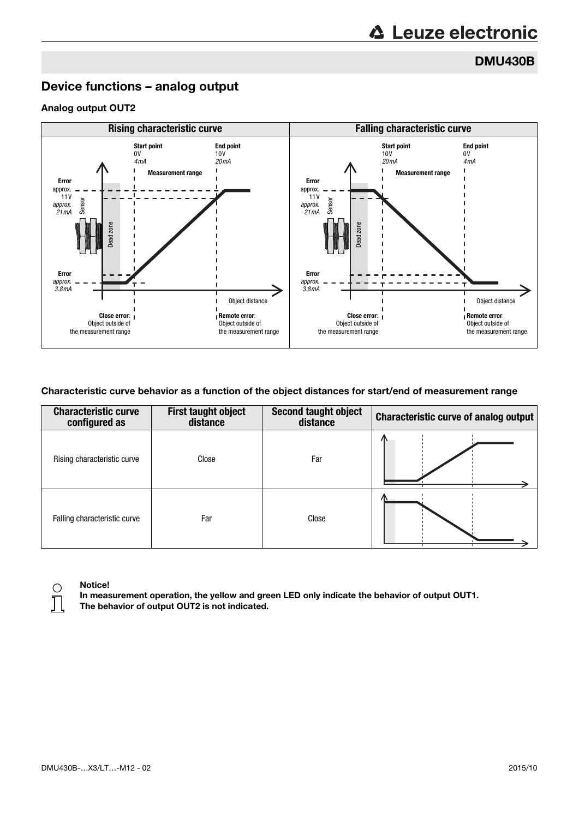DMU430B

### Device functions – analog output

### Analog output OUT2



### Characteristic curve behavior as a function of the object distances for start/end of measurement range

| <b>Characteristic curve</b><br>configured as | <b>First taught object</b><br>distance | Second taught object<br>distance | <b>Characteristic curve of analog output</b> |
|----------------------------------------------|----------------------------------------|----------------------------------|----------------------------------------------|
| Rising characteristic curve                  | Close                                  | Far                              |                                              |
| Falling characteristic curve                 | Far                                    | Close                            |                                              |



### Notice!

In measurement operation, the yellow and green LED only indicate the behavior of output OUT1. The behavior of output OUT2 is not indicated.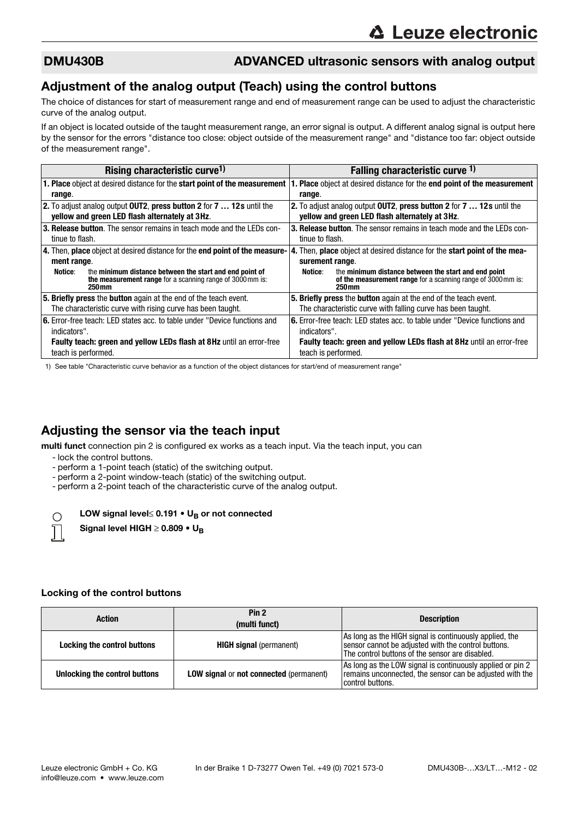### Adjustment of the analog output (Teach) using the control buttons

The choice of distances for start of measurement range and end of measurement range can be used to adjust the characteristic curve of the analog output.

If an object is located outside of the taught measurement range, an error signal is output. A different analog signal is output here by the sensor for the errors "distance too close: object outside of the measurement range" and "distance too far: object outside of the measurement range".

| Rising characteristic curve <sup>1)</sup>                                      | Falling characteristic curve 1)                                                   |  |
|--------------------------------------------------------------------------------|-----------------------------------------------------------------------------------|--|
| 1. Place object at desired distance for the start point of the measurement     | I. Place object at desired distance for the end point of the measurement          |  |
| range.                                                                         | range.                                                                            |  |
| 2. To adjust analog output OUT2, press button 2 for 7  12s until the           | 2. To adjust analog output OUT2, press button 2 for 7  12s until the              |  |
| yellow and green LED flash alternately at 3Hz.                                 | yellow and green LED flash alternately at 3Hz.                                    |  |
| 3. Release button. The sensor remains in teach mode and the LEDs con-          | <b>3. Release button</b> . The sensor remains in teach mode and the LEDs con-     |  |
| tinue to flash.                                                                | tinue to flash.                                                                   |  |
| 4. Then, place object at desired distance for the end point of the measure-    | 4. Then, place object at desired distance for the start point of the mea-         |  |
| ment range.                                                                    | surement range.                                                                   |  |
| Notice:<br>the minimum distance between the start and end point of             | the minimum distance between the start and end point<br>Notice:                   |  |
| the measurement range for a scanning range of 3000 mm is:<br>250 <sub>mm</sub> | of the measurement range for a scanning range of 3000 mm is:<br>250 <sub>mm</sub> |  |
| <b>5. Briefly press</b> the <b>button</b> again at the end of the teach event. | 5. Briefly press the button again at the end of the teach event.                  |  |
| The characteristic curve with rising curve has been taught.                    | The characteristic curve with falling curve has been taught.                      |  |
| 6. Error-free teach: LED states acc. to table under "Device functions and      | <b>6.</b> Error-free teach: LED states acc. to table under "Device functions and  |  |
| indicators".                                                                   | indicators".                                                                      |  |
| <b>Faulty teach: green and yellow LEDs flash at 8Hz until an error-free</b>    | <b>Faulty teach: green and yellow LEDs flash at 8Hz until an error-free</b>       |  |
| teach is performed.                                                            | teach is performed.                                                               |  |

1) See table "Characteristic curve behavior as a function of the object distances for start/end of measurement range"

### Adjusting the sensor via the teach input

multi funct connection pin 2 is configured ex works as a teach input. Via the teach input, you can

- lock the control buttons.
- perform a 1-point teach (static) of the switching output.
- perform a 2-point window-teach (static) of the switching output.
- perform a 2-point teach of the characteristic curve of the analog output.

### LOW signal level≤ 0.191  $\bullet$  U<sub>B</sub> or not connected



Signal level HIGH  $\geq$  0.809 • U<sub>B</sub>

### Locking of the control buttons

| <b>Action</b>                 | Pin <sub>2</sub><br>(multi funct)              | <b>Description</b>                                                                                                                                                |
|-------------------------------|------------------------------------------------|-------------------------------------------------------------------------------------------------------------------------------------------------------------------|
| Locking the control buttons   | <b>HIGH signal</b> (permanent)                 | As long as the HIGH signal is continuously applied, the<br>sensor cannot be adjusted with the control buttons.<br>The control buttons of the sensor are disabled. |
| Unlocking the control buttons | <b>LOW signal or not connected (permanent)</b> | As long as the LOW signal is continuously applied or pin 2<br>remains unconnected, the sensor can be adjusted with the<br>control buttons.                        |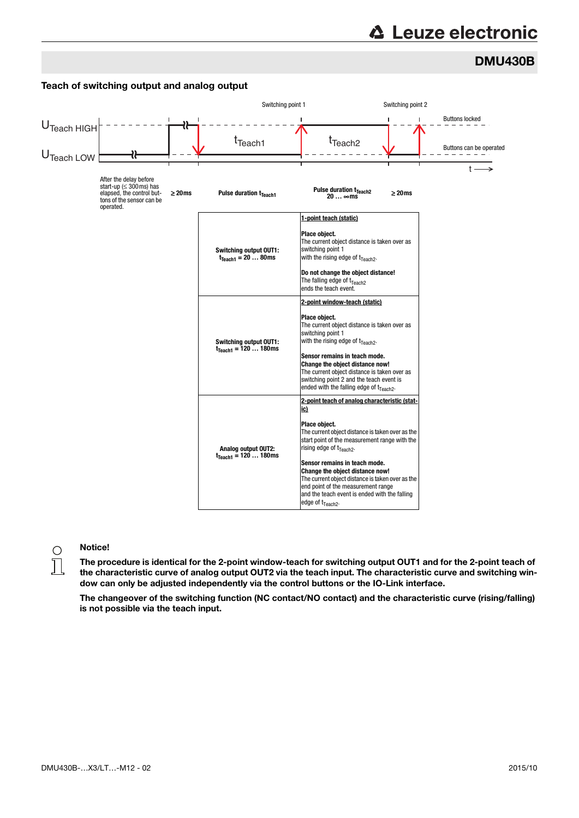# **∆ Leuze electronic**

# DMU430B



### Teach of switching output and analog output

### Notice!

The procedure is identical for the 2-point window-teach for switching output OUT1 and for the 2-point teach of the characteristic curve of analog output OUT2 via the teach input. The characteristic curve and switching window can only be adjusted independently via the control buttons or the IO-Link interface.

The changeover of the switching function (NC contact/NO contact) and the characteristic curve (rising/falling) is not possible via the teach input.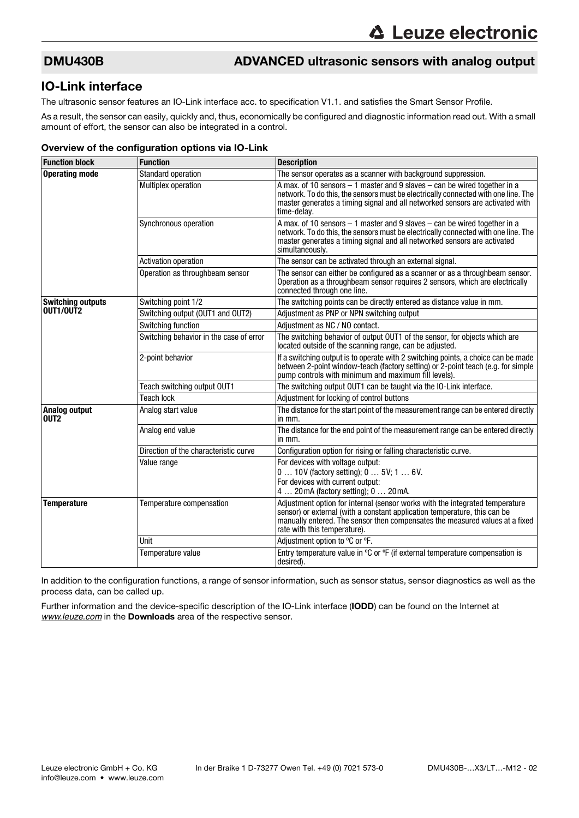### IO-Link interface

The ultrasonic sensor features an IO-Link interface acc. to specification V1.1. and satisfies the Smart Sensor Profile.

As a result, the sensor can easily, quickly and, thus, economically be configured and diagnostic information read out. With a small amount of effort, the sensor can also be integrated in a control.

### Overview of the configuration options via IO-Link

| <b>Function block</b>                    | <b>Function</b>                         | <b>Description</b>                                                                                                                                                                                                                                                 |
|------------------------------------------|-----------------------------------------|--------------------------------------------------------------------------------------------------------------------------------------------------------------------------------------------------------------------------------------------------------------------|
| <b>Operating mode</b>                    | <b>Standard operation</b>               | The sensor operates as a scanner with background suppression.                                                                                                                                                                                                      |
|                                          | Multiplex operation                     | A max. of 10 sensors $-1$ master and 9 slaves $-$ can be wired together in a<br>network. To do this, the sensors must be electrically connected with one line. The<br>master generates a timing signal and all networked sensors are activated with<br>time-delay. |
|                                          | Synchronous operation                   | A max. of 10 sensors – 1 master and 9 slaves – can be wired together in a<br>network. To do this, the sensors must be electrically connected with one line. The<br>master generates a timing signal and all networked sensors are activated<br>simultaneously.     |
|                                          | <b>Activation operation</b>             | The sensor can be activated through an external signal.                                                                                                                                                                                                            |
|                                          | Operation as throughbeam sensor         | The sensor can either be configured as a scanner or as a throughbeam sensor.<br>Operation as a throughbeam sensor requires 2 sensors, which are electrically<br>connected through one line.                                                                        |
| <b>Switching outputs</b>                 | Switching point 1/2                     | The switching points can be directly entered as distance value in mm.                                                                                                                                                                                              |
| OUT1/OUT2                                | Switching output (OUT1 and OUT2)        | Adjustment as PNP or NPN switching output                                                                                                                                                                                                                          |
|                                          | Switching function                      | Adjustment as NC / NO contact.                                                                                                                                                                                                                                     |
|                                          | Switching behavior in the case of error | The switching behavior of output OUT1 of the sensor, for objects which are<br>located outside of the scanning range, can be adjusted.                                                                                                                              |
|                                          | 2-point behavior                        | If a switching output is to operate with 2 switching points, a choice can be made<br>between 2-point window-teach (factory setting) or 2-point teach (e.g. for simple<br>pump controls with minimum and maximum fill levels).                                      |
|                                          | Teach switching output OUT1             | The switching output OUT1 can be taught via the IO-Link interface.                                                                                                                                                                                                 |
|                                          | <b>Teach lock</b>                       | Adjustment for locking of control buttons                                                                                                                                                                                                                          |
| <b>Analog output</b><br>OUT <sub>2</sub> | Analog start value                      | The distance for the start point of the measurement range can be entered directly<br>in mm.                                                                                                                                                                        |
|                                          | Analog end value                        | The distance for the end point of the measurement range can be entered directly<br>in mm.                                                                                                                                                                          |
|                                          | Direction of the characteristic curve   | Configuration option for rising or falling characteristic curve.                                                                                                                                                                                                   |
|                                          | Value range                             | For devices with voltage output:                                                                                                                                                                                                                                   |
|                                          |                                         | 0  10V (factory setting); 0  5V; 1  6V.<br>For devices with current output:                                                                                                                                                                                        |
|                                          |                                         | 4  20 mA (factory setting); 0  20 mA.                                                                                                                                                                                                                              |
| <b>Temperature</b>                       | Temperature compensation                | Adjustment option for internal (sensor works with the integrated temperature                                                                                                                                                                                       |
|                                          |                                         | sensor) or external (with a constant application temperature, this can be<br>manually entered. The sensor then compensates the measured values at a fixed<br>rate with this temperature).                                                                          |
|                                          | Unit                                    | Adjustment option to °C or °F.                                                                                                                                                                                                                                     |
|                                          | Temperature value                       | Entry temperature value in °C or °F (if external temperature compensation is<br>desired).                                                                                                                                                                          |

In addition to the configuration functions, a range of sensor information, such as sensor status, sensor diagnostics as well as the process data, can be called up.

Further information and the device-specific description of the IO-Link interface (IODD) can be found on the Internet at *[www.leuze.com](http://www.leuze.com)* in the Downloads area of the respective sensor.